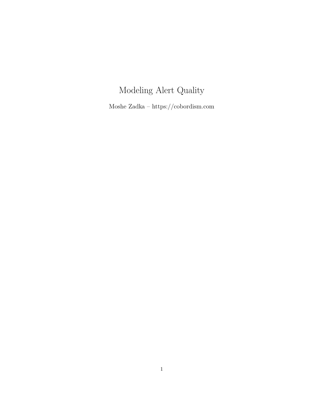# Modeling Alert Quality

Moshe Zadka – https://cobordism.com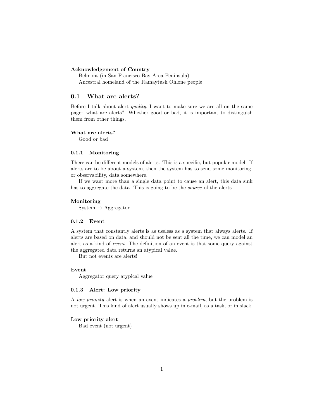#### Acknowledgement of Country

Belmont (in San Francisco Bay Area Peninsula) Ancestral homeland of the Ramaytush Ohlone people

# 0.1 What are alerts?

Before I talk about alert quality, I want to make sure we are all on the same page: what are alerts? Whether good or bad, it is important to distinguish them from other things.

#### What are alerts?

Good or bad

#### 0.1.1 Monitoring

There can be different models of alerts. This is a specific, but popular model. If alerts are to be about a system, then the system has to send some monitoring, or observability, data somewhere.

If we want more than a single data point to cause an alert, this data sink has to aggregate the data. This is going to be the source of the alerts.

#### Monitoring

 $System \rightarrow Aggregation$ 

#### 0.1.2 Event

A system that constantly alerts is as useless as a system that always alerts. If alerts are based on data, and should not be sent all the time, we can model an alert as a kind of event. The definition of an event is that some query against the aggregated data returns an atypical value.

But not events are alerts!

#### Event

Aggregator query atypical value

# 0.1.3 Alert: Low priority

A low priority alert is when an event indicates a problem, but the problem is not urgent. This kind of alert usually shows up in e-mail, as a task, or in slack.

#### Low priority alert

Bad event (not urgent)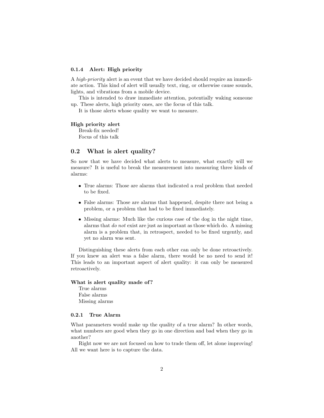#### 0.1.4 Alert: High priority

A high-priority alert is an event that we have decided should require an immediate action. This kind of alert will usually text, ring, or otherwise cause sounds, lights, and vibrations from a mobile device.

This is intended to draw immediate attention, potentially waking someone up. These alerts, high priority ones, are the focus of this talk.

It is those alerts whose quality we want to measure.

#### High priority alert

Break-fix needed! Focus of this talk

# 0.2 What is alert quality?

So now that we have decided what alerts to measure, what exactly will we measure? It is useful to break the measurement into measuring three kinds of alarms:

- True alarms: Those are alarms that indicated a real problem that needed to be fixed.
- False alarms: Those are alarms that happened, despite there not being a problem, or a problem that had to be fixed immediately.
- Missing alarms: Much like the curious case of the dog in the night time, alarms that do not exist are just as important as those which do. A missing alarm is a problem that, in retrospect, needed to be fixed urgently, and yet no alarm was sent.

Distinguishing these alerts from each other can only be done retroactively. If you knew an alert was a false alarm, there would be no need to send it! This leads to an important aspect of alert quality: it can only be measured retroactively.

#### What is alert quality made of?

True alarms False alarms Missing alarms

#### 0.2.1 True Alarm

What parameters would make up the quality of a true alarm? In other words, what numbers are good when they go in one direction and bad when they go in another?

Right now we are not focused on how to trade them off, let alone improving! All we want here is to capture the data.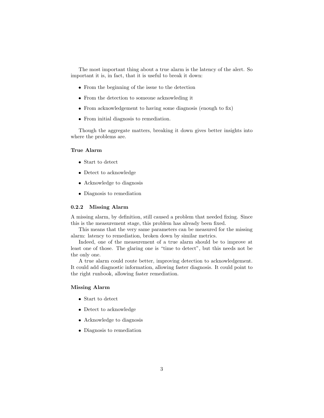The most important thing about a true alarm is the latency of the alert. So important it is, in fact, that it is useful to break it down:

- From the beginning of the issue to the detection
- From the detection to someone acknowleding it
- From acknowledgement to having some diagnosis (enough to fix)
- From initial diagnosis to remediation.

Though the aggregate matters, breaking it down gives better insights into where the problems are.

#### True Alarm

- Start to detect
- Detect to acknowledge
- Acknowledge to diagnosis
- Diagnosis to remediation

### 0.2.2 Missing Alarm

A missing alarm, by definition, still caused a problem that needed fixing. Since this is the measurement stage, this problem has already been fixed.

This means that the very same parameters can be measured for the missing alarm: latency to remediation, broken down by similar metrics.

Indeed, one of the measurement of a true alarm should be to improve at least one of those. The glaring one is "time to detect", but this needs not be the only one.

A true alarm could route better, improving detection to acknowledgement. It could add diagnostic information, allowing faster diagnosis. It could point to the right runbook, allowing faster remediation.

# Missing Alarm

- Start to detect
- Detect to acknowledge
- Acknowledge to diagnosis
- Diagnosis to remediation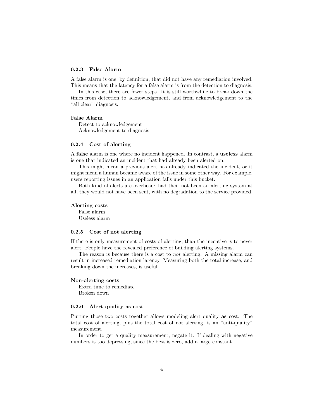#### 0.2.3 False Alarm

A false alarm is one, by definition, that did not have any remediation involved. This means that the latency for a false alarm is from the detection to diagnosis.

In this case, there are fewer steps. It is still worthwhile to break down the times from detection to acknowledgement, and from acknowledgement to the "all clear" diagnosis.

#### False Alarm

Detect to acknowledgement Acknowledgement to diagnosis

#### 0.2.4 Cost of alerting

A false alarm is one where no incident happened. In contrast, a useless alarm is one that indicated an incident that had already been alerted on.

This might mean a previous alert has already indicated the incident, or it might mean a human became aware of the issue in some other way. For example, users reporting issues in an application falls under this bucket.

Both kind of alerts are overhead: had their not been an alerting system at all, they would not have been sent, with no degradation to the service provided.

#### Alerting costs

False alarm Useless alarm

# 0.2.5 Cost of not alerting

If there is only measurement of costs of alerting, than the incentive is to never alert. People have the revealed preference of building alerting systems.

The reason is because there is a cost to *not* alerting. A missing alarm can result in increased remediation latency. Measuring both the total increase, and breaking down the increases, is useful.

#### Non-alerting costs

Extra time to remediate Broken down

#### 0.2.6 Alert quality as cost

Putting those two costs together allows modeling alert quality as cost. The total cost of alerting, plus the total cost of not alerting, is an "anti-quality" measurement.

In order to get a quality measurement, negate it. If dealing with negative numbers is too depressing, since the best is zero, add a large constant.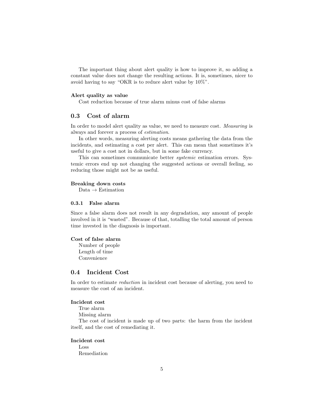The important thing about alert quality is how to improve it, so adding a constant value does not change the resulting actions. It is, sometimes, nicer to avoid having to say "OKR is to reduce alert value by 10%".

#### Alert quality as value

Cost reduction because of true alarm minus cost of false alarms

# 0.3 Cost of alarm

In order to model alert quality as value, we need to measure cost. Measuring is always and forever a process of estimation.

In other words, measuring alerting costs means gathering the data from the incidents, and estimating a cost per alert. This can mean that sometimes it's useful to give a cost not in dollars, but in some fake currency.

This can sometimes communicate better systemic estimation errors. Systemic errors end up not changing the suggested actions or overall feeling, so reducing those might not be as useful.

#### Breaking down costs

 $Data \rightarrow Estimation$ 

#### 0.3.1 False alarm

Since a false alarm does not result in any degradation, any amount of people involved in it is "wasted". Because of that, totalling the total amount of person time invested in the diagnosis is important.

# Cost of false alarm

Number of people Length of time Convenience

# 0.4 Incident Cost

In order to estimate reduction in incident cost because of alerting, you need to measure the cost of an incident.

# Incident cost

True alarm Missing alarm

The cost of incident is made up of two parts: the harm from the incident itself, and the cost of remediating it.

#### Incident cost

Loss Remediation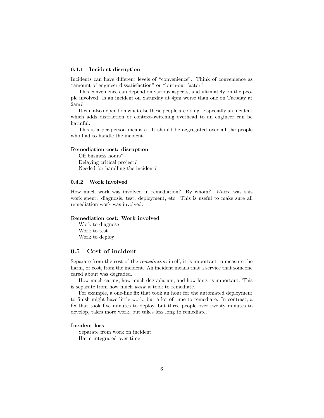#### 0.4.1 Incident disruption

Incidents can have different levels of "convenience". Think of convenience as "amount of engineer dissatisfaction" or "burn-out factor".

This convenience can depend on various aspects, and ultimately on the people involved. Is an incident on Saturday at 4pm worse than one on Tuesday at 2am?

It can also depend on what else these people are doing. Especially an incident which adds distraction or context-switching overhead to an engineer can be harmful.

This is a per-person meausre. It should be aggregated over all the people who had to handle the incident.

#### Remediation cost: disruption

Off business hours? Delaying critical project? Needed for handling the incident?

#### 0.4.2 Work involved

How much work was involved in remediation? By whom? Where was this work spent: diagnosis, test, deployment, etc. This is useful to make sure all remediation work was involved.

# Remediation cost: Work involved

Work to diagnose Work to test Work to deploy

# 0.5 Cost of incident

Separate from the cost of the remediation itself, it is important to measure the harm, or cost, from the incident. An incident means that a service that someone cared about was degraded.

How much caring, how much degradation, and how long, is important. This is separate from how much work it took to remediate.

For example, a one-line fix that took an hour for the automated deployment to finish might have little work, but a lot of time to remediate. In contrast, a fix that took five minutes to deploy, but three people over twenty minutes to develop, takes more work, but takes less long to remediate.

#### Incident loss

Separate from work on incident Harm integrated over time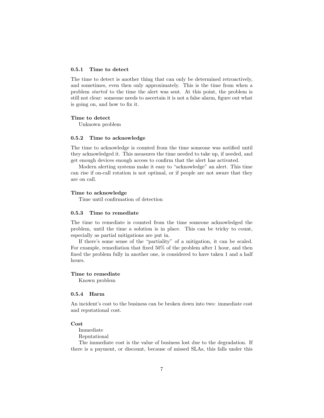#### 0.5.1 Time to detect

The time to detect is another thing that can only be determined retroactively, and sometimes, even then only approximately. This is the time from when a problem started to the time the alert was sent. At this point, the problem is still not clear: someone needs to ascertain it is not a false alarm, figure out what is going on, and how to fix it.

#### Time to detect

Unknown problem

# 0.5.2 Time to acknowledge

The time to acknowledge is counted from the time someone was notified until they acknowledged it. This measures the time needed to take up, if needed, and get enough devices enough access to confirm that the alert has activated.

Modern alerting systems make it easy to "acknowledge" an alert. This time can rise if on-call rotation is not optimal, or if people are not aware that they are on call.

#### Time to acknowledge

Time until confirmation of detection

#### 0.5.3 Time to remediate

The time to remediate is counted from the time someone acknowledged the problem, until the time a solution is in place. This can be tricky to count, especially as partial mitigations are put in.

If there's some sense of the "partiality" of a mitigation, it can be scaled. For example, remediation that fixed 50% of the problem after 1 hour, and then fixed the problem fully in another one, is considered to have taken 1 and a half hours.

#### Time to remediate

Known problem

#### 0.5.4 Harm

An incident's cost to the business can be broken down into two: immediate cost and reputational cost.

#### Cost

Immediate Reputational

The immediate cost is the value of business lost due to the degradation. If there is a payment, or discount, because of missed SLAs, this falls under this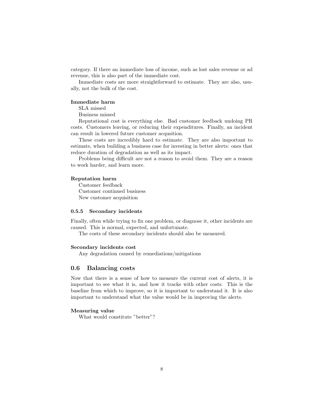category. If there an immediate loss of income, such as lost sales revenue or ad revenue, this is also part of the immediate cost.

Immediate costs are more straightforward to estimate. They are also, usually, not the bulk of the cost.

#### Immediate harm

SLA missed

Business missed

Reputational cost is everything else. Bad customer feedback undoing PR costs. Customers leaving, or reducing their expenditures. Finally, an incident can result in lowered future customer acqusition.

These costs are incredibly hard to estimate. They are also important to estimate, when building a business case for investing in better alerts: ones that reduce duration of degradation as well as its impact.

Problems being difficult are not a reason to avoid them. They are a reason to work harder, and learn more.

#### Reputation harm

Customer feedback Customer continued business New customer acquisition

#### 0.5.5 Secondary incidents

Finally, often while trying to fix one problem, or diagnose it, other incidents are caused. This is normal, expected, and unfortunate.

The costs of these secondary incidents should also be measured.

# Secondary incidents cost

Any degradation caused by remediations/mitigations

# 0.6 Balancing costs

Now that there is a sense of how to measure the current cost of alerts, it is important to see what it is, and how it tracks with other costs. This is the baseline from which to improve, so it is important to understand it. It is also important to understand what the value would be in improving the alerts.

#### Measuring value

What would constitute "better"?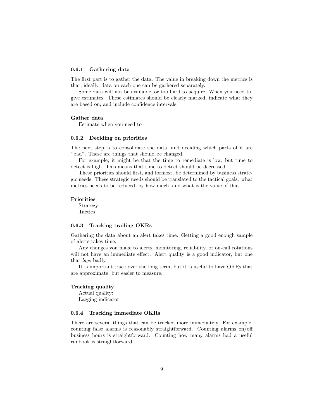#### 0.6.1 Gathering data

The first part is to gather the data. The value in breaking down the metrics is that, ideally, data on each one can be gathered separately.

Some data will not be available, or too hard to acquire. When you need to, give estimates. These estimates should be clearly marked, indicate what they are based on, and include confidence intervals.

#### Gather data

Estimate when you need to

#### 0.6.2 Deciding on priorities

The next step is to consolidate the data, and deciding which parts of it are "bad". These are things that should be changed.

For example, it might be that the time to remediate is low, but time to detect is high. This means that time to detect should be decreased.

These priorities should first, and formost, be determined by business strategic needs. These strategic needs should be translated to the tactical goals: what metrics needs to be reduced, by how much, and what is the value of that.

#### Priorities

Strategy Tactics

#### 0.6.3 Tracking trailing OKRs

Gathering the data about an alert takes time. Getting a good enough sample of alerts takes time.

Any changes you make to alerts, monitoring, reliability, or on-call rotations will not have an immediate effect. Alert quality is a good indicator, but one that lags badly.

It is important track over the long term, but it is useful to have OKRs that are approximate, but easier to measure.

#### Tracking quality

Actual quality: Lagging indicator

#### 0.6.4 Tracking immediate OKRs

There are several things that can be tracked more immediately. For example, counting false alarms is reasonably straightforward. Counting alarms on/off business hours is straightforward. Counting how many alarms had a useful runbook is straightforward.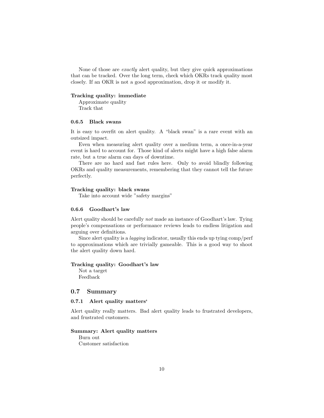None of those are exactly alert quality, but they give quick approximations that can be tracked. Over the long term, check which OKRs track quality most closely. If an OKR is not a good approximation, drop it or modify it.

#### Tracking quality: immediate

Approximate quality Track that

# 0.6.5 Black swans

It is easy to overfit on alert quality. A "black swan" is a rare event with an outsized impact.

Even when measuring alert quality over a medium term, a once-in-a-year event is hard to account for. Those kind of alerts might have a high false alarm rate, but a true alarm can days of downtime.

There are no hard and fast rules here. Only to avoid blindly following OKRs and quality measurements, remembering that they cannot tell the future perfectly.

#### Tracking quality: black swans

Take into account wide "safety margins"

# 0.6.6 Goodhart's law

Alert quality should be carefully not made an instance of Goodhart's law. Tying people's compensations or performance reviews leads to endless litigation and arguing over definitions.

Since alert quality is a lagging indicator, usually this ends up tying comp/perf to approximations which are trivially gameable. This is a good way to shoot the alert quality down hard.

#### Tracking quality: Goodhart's law

Not a target Feedback

### 0.7 Summary

# 0.7.1 Alert quality matters'

Alert quality really matters. Bad alert quality leads to frustrated developers, and frustrated customers.

#### Summary: Alert quality matters

Burn out Customer satisfaction